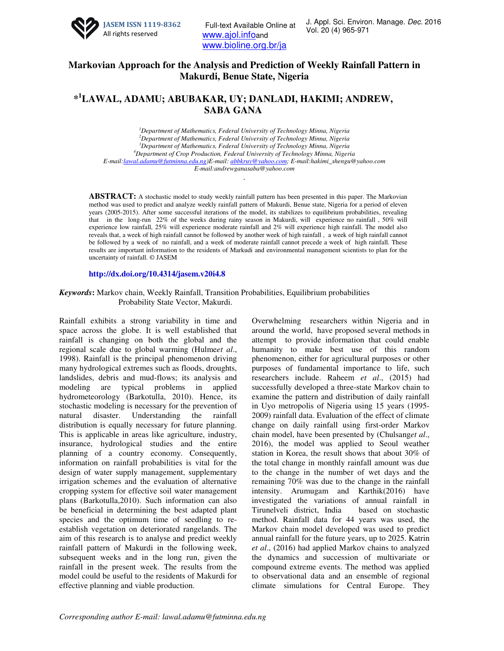

Full-text Available Online at J. Appl. Sci. Enviror<br>Vol. 20 (4) 965-971 www.ajol.infoand www.bioline.org.br/ja

## **Markovian Approach for the Analysis and Prediction of Weekly Rainfall Pattern in Makurdi, Benue State, Nigeria**

# **\* <sup>1</sup>LAWAL, ADAMU; ABUBAKAR, UY; DANLADI, HAKIMI; ANDREW, SABA GANA**

*Department of Mathematics, Federal University of Technology Minna, Nigeria Department of Mathematics, Federal University of Technology Minna, Nigeria Department of Mathematics, Federal University of Technology Minna, Nigeria Department of Crop Production, Federal University of Technology Minna, Nigeria E-mail:lawal.adamu@futminna.edu.ng)E-mail: abbkruy@yahoo.com; E-mail:hakimi\_shengu@yahoo.com E-mail:andrewganasaba@yahoo.com* 

.

**ABSTRACT:** A stochastic model to study weekly rainfall pattern has been presented in this paper. The Markovian method was used to predict and analyze weekly rainfall pattern of Makurdi, Benue state, Nigeria for a period of eleven years (2005-2015). After some successful iterations of the model, its stabilizes to equilibrium probabilities, revealing that in the long-run 22% of the weeks during rainy season in Makurdi, will experience no rainfall , 50% will experience low rainfall, 25% will experience moderate rainfall and 2% will experience high rainfall. The model also reveals that, a week of high rainfall cannot be followed by another week of high rainfall , a week of high rainfall cannot be followed by a week of no rainfall, and a week of moderate rainfall cannot precede a week of high rainfall. These results are important information to the residents of Markudi and environmental management scientists to plan for the uncertainty of rainfall. © JASEM

#### **http://dx.doi.org/10.4314/jasem.v20i4.8**

### *Keywords***:** Markov chain, Weekly Rainfall, Transition Probabilities, Equilibrium probabilities Probability State Vector, Makurdi.

Rainfall exhibits a strong variability in time and space across the globe. It is well established that rainfall is changing on both the global and the regional scale due to global warming (Hulme*et al*., 1998). Rainfall is the principal phenomenon driving many hydrological extremes such as floods, droughts, landslides, debris and mud-flows; its analysis and modeling are typical problems in applied hydrometeorology (Barkotulla, 2010). Hence, its stochastic modeling is necessary for the prevention of natural disaster. Understanding the rainfall distribution is equally necessary for future planning. This is applicable in areas like agriculture, industry, insurance, hydrological studies and the entire planning of a country economy. Consequently, information on rainfall probabilities is vital for the design of water supply management, supplementary irrigation schemes and the evaluation of alternative cropping system for effective soil water management plans (Barkotulla,2010). Such information can also be beneficial in determining the best adapted plant species and the optimum time of seedling to reestablish vegetation on deteriorated rangelands. The aim of this research is to analyse and predict weekly rainfall pattern of Makurdi in the following week, subsequent weeks and in the long run, given the rainfall in the present week. The results from the model could be useful to the residents of Makurdi for effective planning and viable production.

Overwhelming researchers within Nigeria and in around the world, have proposed several methods in attempt to provide information that could enable humanity to make best use of this random phenomenon, either for agricultural purposes or other purposes of fundamental importance to life, such researchers include. Raheem *et al*., (2015) had successfully developed a three-state Markov chain to examine the pattern and distribution of daily rainfall in Uyo metropolis of Nigeria using 15 years (1995- 2009) rainfall data. Evaluation of the effect of climate change on daily rainfall using first-order Markov chain model, have been presented by (Chulsang*et al*., 2016), the model was applied to Seoul weather station in Korea, the result shows that about 30% of the total change in monthly rainfall amount was due to the change in the number of wet days and the remaining 70% was due to the change in the rainfall intensity. Arumugam and Karthik(2016) have investigated the variations of annual rainfall in Tirunelveli district, India based on stochastic method. Rainfall data for 44 years was used, the Markov chain model developed was used to predict annual rainfall for the future years, up to 2025. Katrin *et al*., (2016) had applied Markov chains to analyzed the dynamics and succession of multivariate or compound extreme events. The method was applied to observational data and an ensemble of regional climate simulations for Central Europe. They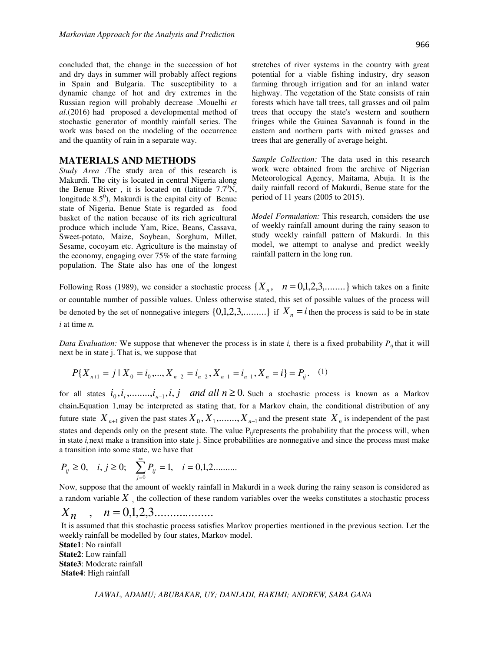concluded that, the change in the succession of hot and dry days in summer will probably affect regions in Spain and Bulgaria. The susceptibility to a dynamic change of hot and dry extremes in the Russian region will probably decrease .Mouelhi *et al*.(2016) had proposed a developmental method of stochastic generator of monthly rainfall series. The work was based on the modeling of the occurrence and the quantity of rain in a separate way.

### **MATERIALS AND METHODS**

*Study Area :*The study area of this research is Makurdi. The city is located in central Nigeria along the Benue River, it is located on (latitude  $7.7^{\circ}$ N, longitude  $8.5^\circ$ ), Makurdi is the capital city of Benue state of Nigeria. Benue State is regarded as food basket of the nation because of its rich agricultural produce which include Yam, Rice, Beans, Cassava, Sweet-potato, Maize, Soybean, Sorghum, Millet, Sesame, cocoyam etc. Agriculture is the mainstay of the economy, engaging over 75% of the state farming population. The State also has one of the longest

stretches of river systems in the country with great potential for a viable fishing industry, dry season farming through irrigation and for an inland water highway. The vegetation of the State consists of rain forests which have tall trees, tall grasses and oil palm trees that occupy the state's western and southern fringes while the Guinea Savannah is found in the eastern and northern parts with mixed grasses and trees that are generally of average height.

*Sample Collection:* The data used in this research work were obtained from the archive of Nigerian Meteorological Agency, Maitama, Abuja. It is the daily rainfall record of Makurdi, Benue state for the period of 11 years (2005 to 2015).

*Model Formulation:* This research, considers the use of weekly rainfall amount during the rainy season to study weekly rainfall pattern of Makurdi. In this model, we attempt to analyse and predict weekly rainfall pattern in the long run.

Following Ross (1989), we consider a stochastic process  $\{X_n, n = 0,1,2,3,...\}$  which takes on a finite or countable number of possible values. Unless otherwise stated, this set of possible values of the process will be denoted by the set of nonnegative integers  $\{0,1,2,3,...,\}$  if  $X_n = i$  then the process is said to be in state *i* at time *n.*

*Data Evaluation:* We suppose that whenever the process is in state *i,* there is a fixed probability *Pij* that it will next be in state j. That is, we suppose that

$$
P\{X_{n+1} = j \mid X_0 = i_0, ..., X_{n-2} = i_{n-2}, X_{n-1} = i_{n-1}, X_n = i\} = P_{ij}.
$$
 (1)

for all states  $i_0, i_1, \ldots, i_{n-1}, i, j$  *and all*  $n \ge 0$ . Such a stochastic process is known as a Markov chain**.**Equation 1,may be interpreted as stating that, for a Markov chain, the conditional distribution of any future state  $X_{n+1}$  given the past states  $X_0, X_1, \ldots, X_{n-1}$  and the present state  $X_n$  is independent of the past states and depends only on the present state. The value  $P_{ii}$  represents the probability that the process will, when in state *i,*next make a transition into state j. Since probabilities are nonnegative and since the process must make a transition into some state, we have that

$$
P_{ij} \ge 0, \quad i, j \ge 0; \quad \sum_{j=0}^{\infty} P_{ij} = 1, \quad i = 0, 1, 2 \dots \dots
$$

Now, suppose that the amount of weekly rainfall in Makurdi in a week during the rainy season is considered as a random variable *X* , the collection of these random variables over the weeks constitutes a stochastic process

 $X_n$ ,  $n = 0,1,2,3...$ 

 It is assumed that this stochastic process satisfies Markov properties mentioned in the previous section. Let the weekly rainfall be modelled by four states, Markov model.

**State1**: No rainfall **State2**: Low rainfall **State3**: Moderate rainfall  **State4**: High rainfall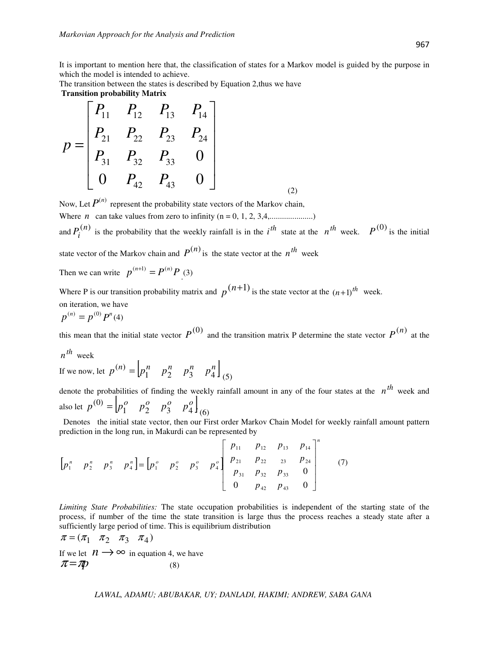It is important to mention here that, the classification of states for a Markov model is guided by the purpose in which the model is intended to achieve.

The transition between the states is described by Equation 2,thus we have  **Transition probability Matrix** 

$$
p = \begin{bmatrix} P_{11} & P_{12} & P_{13} & P_{14} \\ P_{21} & P_{22} & P_{23} & P_{24} \\ P_{31} & P_{32} & P_{33} & 0 \\ 0 & P_{42} & P_{43} & 0 \end{bmatrix}
$$
 (2)

Now, Let  $P^{(n)}$  represent the probability state vectors of the Markov chain,

Where *n* can take values from zero to infinity  $(n = 0, 1, 2, 3, 4, \dots, \dots, \dots)$ 

and  $P_i^{(n)}$  is the probability that the weekly rainfall is in the *i*<sup>th</sup> state at the *n*<sup>th</sup> week.  $P^{(0)}$  is the initial state vector of the Markov chain and  $P^{(n)}$  is the state vector at the  $n^{th}$  week

Then we can write  $p^{(n+1)} = P^{(n)}P$ . (3)

Where P is our transition probability matrix and  $p^{(n+1)}$  is the state vector at the  $(n+1)$ <sup>th</sup> week. on iteration, we have

$$
p^{(n)} = p^{(0)} P^n(4)
$$

this mean that the initial state vector  $P^{(0)}$  and the transition matrix P determine the state vector  $P^{(n)}$  at the

*th n* week

If we now, let  $p^{(n)} = \begin{bmatrix} p_1^n & p_2^n & p_3^n & p_4^n \end{bmatrix}$  $(n) = p_1^n$   $p_2^n$   $p_3^n$   $p_4^n$  (5)

denote the probabilities of finding the weekly rainfall amount in any of the four states at the  $n<sup>th</sup>$  week and also let  $p^{(0)} = \begin{bmatrix} p_1^o & p_2^o & p_3^o & p_4^o \end{bmatrix}$  $p^{(0)} = \begin{bmatrix} p_1^o & p_2^o & p_3^o & p_4^o \end{bmatrix}_{(6)}$ 

 Denotes the initial state vector, then our First order Markov Chain Model for weekly rainfall amount pattern prediction in the long run, in Makurdi can be represented by

$$
\begin{bmatrix} p_1^n & p_2^n & p_3^n & p_4^n \end{bmatrix} = \begin{bmatrix} p_1^o & p_2^o & p_3^o & p_4^o \end{bmatrix} \begin{bmatrix} p_{11} & p_{12} & p_{13} & p_{14} \\ p_{21} & p_{22} & p_{23} & p_{24} \\ p_{31} & p_{32} & p_{33} & 0 \\ 0 & p_{42} & p_{43} & 0 \end{bmatrix}^n \tag{7}
$$

*Limiting State Probabilities:* The state occupation probabilities is independent of the starting state of the process, if number of the time the state transition is large thus the process reaches a steady state after a sufficiently large period of time. This is equilibrium distribution

 $\pi = (\pi_1 \quad \pi_2 \quad \pi_3 \quad \pi_4)$ If we let  $n \rightarrow \infty$  in equation 4, we have  $\pi = \pi p$  (8)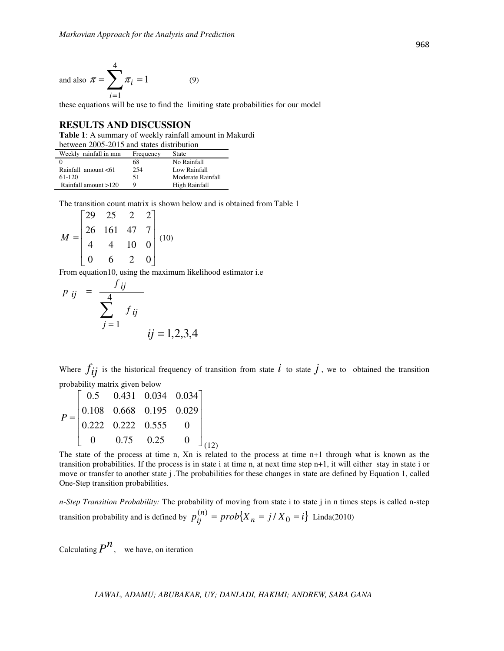and also 
$$
\pi = \sum_{i=1}^{4} \pi_i = 1
$$
 (9)

these equations will be use to find the limiting state probabilities for our model

### **RESULTS AND DISCUSSION**

**Table 1**: A summary of weekly rainfall amount in Makurdi

| between 2005-2015 and states distribution |           |                   |
|-------------------------------------------|-----------|-------------------|
| Weekly rainfall in mm                     | Frequency | <b>State</b>      |
|                                           | 68        | No Rainfall       |
| Rainfall amount <61                       | 254       | Low Rainfall      |
| 61-120                                    | 51        | Moderate Rainfall |
| Rainfall amount >120                      | Q         | High Rainfall     |

The transition count matrix is shown below and is obtained from Table 1

$$
M = \begin{bmatrix} 29 & 25 & 2 & 2 \\ 26 & 161 & 47 & 7 \\ 4 & 4 & 10 & 0 \\ 0 & 6 & 2 & 0 \end{bmatrix} (10)
$$

From equation10, using the maximum likelihood estimator i.e

$$
p_{ij} = \frac{f_{ij}}{\sum_{j=1}^{4} f_{ij}}
$$
  
  $ij = 1, 2, 3, 4$ 

Where  $f_{ij}$  is the historical frequency of transition from state  $i$  to state  $j$ , we to obtained the transition probability matrix given below

$$
P = \begin{bmatrix} 0.5 & 0.431 & 0.034 & 0.034 \\ 0.108 & 0.668 & 0.195 & 0.029 \\ 0.222 & 0.222 & 0.555 & 0 \\ 0 & 0.75 & 0.25 & 0 \end{bmatrix}_{(12)}
$$

The state of the process at time n, Xn is related to the process at time n+1 through what is known as the transition probabilities. If the process is in state i at time n, at next time step n+1, it will either stay in state i or move or transfer to another state j .The probabilities for these changes in state are defined by Equation 1, called One-Step transition probabilities.

*n-Step Transition Probability:* The probability of moving from state i to state j in n times steps is called n-step transition probability and is defined by  $p_{ij}^{(n)} = prob\{X_n = j / X_0 = i\}$  Linda(2010)

Calculating  $P^{\prime\prime}$ , we have, on iteration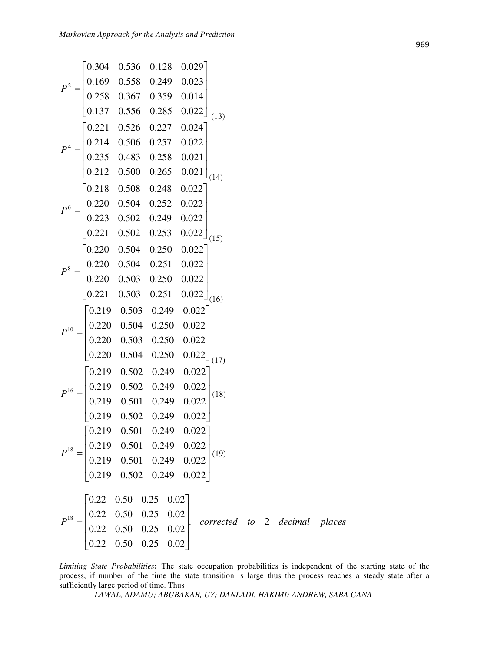$$
P^{2} = \begin{bmatrix}\n0.304 & 0.536 & 0.128 & 0.029 \\
0.169 & 0.558 & 0.249 & 0.023 \\
0.258 & 0.367 & 0.359 & 0.014 \\
0.137 & 0.556 & 0.285 & 0.022 \\
0.21 & 0.526 & 0.227 & 0.024 \\
0.214 & 0.506 & 0.257 & 0.022 \\
0.235 & 0.483 & 0.258 & 0.021 \\
0.212 & 0.500 & 0.265 & 0.021 \\
0.212 & 0.500 & 0.265 & 0.021 \\
0.220 & 0.504 & 0.252 & 0.022 \\
0.223 & 0.502 & 0.249 & 0.022 \\
0.221 & 0.502 & 0.253 & 0.022\n\end{bmatrix}
$$
\n
$$
P^{8} = \begin{bmatrix}\n0.220 & 0.504 & 0.250 & 0.022 \\
0.220 & 0.504 & 0.250 & 0.022 \\
0.220 & 0.504 & 0.250 & 0.022 \\
0.220 & 0.504 & 0.250 & 0.022 \\
0.220 & 0.503 & 0.249 & 0.022\n\end{bmatrix}
$$
\n
$$
P^{10} = \begin{bmatrix}\n0.219 & 0.503 & 0.249 & 0.022 \\
0.220 & 0.504 & 0.250 & 0.022 \\
0.220 & 0.504 & 0.250 & 0.022 \\
0.220 & 0.504 & 0.250 & 0.022 \\
0.220 & 0.504 & 0.250 & 0.022\n\end{bmatrix}
$$
\n
$$
P^{16} = \begin{bmatrix}\n0.219 & 0.502 & 0.249 & 0.022 \\
0.219 & 0.502 & 0.249 & 0.022 \\
0.219 & 0.501 & 0.2
$$

*Limiting State Probabilities***:** The state occupation probabilities is independent of the starting state of the process, if number of the time the state transition is large thus the process reaches a steady state after a sufficiently large period of time. Thus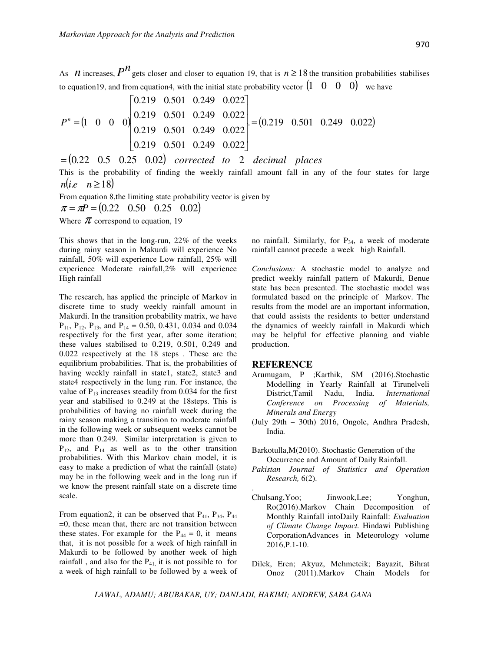As *n* increases,  $P^{n}$  gets closer and closer to equation 19, that is  $n \ge 18$  the transition probabilities stabilises to equation19, and from equation4, with the initial state probability vector  $(1 \ 0 \ 0 \ 0)$  we have

$$
P^{n} = \begin{pmatrix} 0.219 & 0.501 & 0.249 & 0.022 \\ 0.219 & 0.501 & 0.249 & 0.022 \\ 0.219 & 0.501 & 0.249 & 0.022 \\ 0.219 & 0.501 & 0.249 & 0.022 \end{pmatrix} = (0.219 \quad 0.501 \quad 0.249 \quad 0.022)
$$

 $= (0.22 \quad 0.5 \quad 0.25 \quad 0.02)$  *corrected to* 2 *decimal places* 

This is the probability of finding the weekly rainfall amount fall in any of the four states for large  $n(i.e \quad n \geq 18)$ 

From equation 8,the limiting state probability vector is given by

$$
\pi = \pi P = (0.22 \quad 0.50 \quad 0.25 \quad 0.02)
$$

Where  $\pi$  correspond to equation, 19

This shows that in the long-run, 22% of the weeks during rainy season in Makurdi will experience No rainfall, 50% will experience Low rainfall, 25% will experience Moderate rainfall,2% will experience High rainfall

The research, has applied the principle of Markov in discrete time to study weekly rainfall amount in Makurdi. In the transition probability matrix, we have  $P_{11}$ ,  $P_{12}$ ,  $P_{13}$ , and  $P_{14} = 0.50$ , 0.431, 0.034 and 0.034 respectively for the first year, after some iteration; these values stabilised to 0.219, 0.501, 0.249 and 0.022 respectively at the 18 steps . These are the equilibrium probabilities. That is, the probabilities of having weekly rainfall in state1, state2, state3 and state4 respectively in the lung run. For instance, the value of  $P_{13}$  increases steadily from 0.034 for the first year and stabilised to 0.249 at the 18steps. This is probabilities of having no rainfall week during the rainy season making a transition to moderate rainfall in the following week or subsequent weeks cannot be more than 0.249. Similar interpretation is given to  $P_{12}$ , and  $P_{14}$  as well as to the other transition probabilities. With this Markov chain model, it is easy to make a prediction of what the rainfall (state) may be in the following week and in the long run if we know the present rainfall state on a discrete time scale.

From equation2, it can be observed that  $P_{41}$ ,  $P_{34}$ ,  $P_{44}$ =0, these mean that, there are not transition between these states. For example for the  $P_{44} = 0$ , it means that, it is not possible for a week of high rainfall in Makurdi to be followed by another week of high rainfall, and also for the  $P_{41}$ , it is not possible to for a week of high rainfall to be followed by a week of no rainfall. Similarly, for  $P_{34}$ , a week of moderate rainfall cannot precede a week high Rainfall.

*Conclusions:* A stochastic model to analyze and predict weekly rainfall pattern of Makurdi, Benue state has been presented. The stochastic model was formulated based on the principle of Markov. The results from the model are an important information, that could assists the residents to better understand the dynamics of weekly rainfall in Makurdi which may be helpful for effective planning and viable production.

#### **REFERENCE**

- Arumugam, P ;Karthik, SM (2016).Stochastic Modelling in Yearly Rainfall at Tirunelveli District,Tamil Nadu, India. *International Conference on Processing of Materials, Minerals and Energy*
- (July 29th 30th) 2016, Ongole, Andhra Pradesh, India*.*
- Barkotulla,M(2010). Stochastic Generation of the Occurrence and Amount of Daily Rainfall.
- *Pakistan Journal of Statistics and Operation Research,* 6(2).
- Chulsang,Yoo; Jinwook,Lee; Yonghun, Ro(2016).Markov Chain Decomposition of Monthly Rainfall intoDaily Rainfall: *Evaluation of Climate Change Impact.* Hindawi Publishing CorporationAdvances in Meteorology volume 2016,P.1-10.
- Dilek, Eren; Akyuz, Mehmetcik; Bayazit, Bihrat Onoz (2011).Markov Chain Models for

*LAWAL, ADAMU; ABUBAKAR, UY; DANLADI, HAKIMI; ANDREW, SABA GANA* 

.